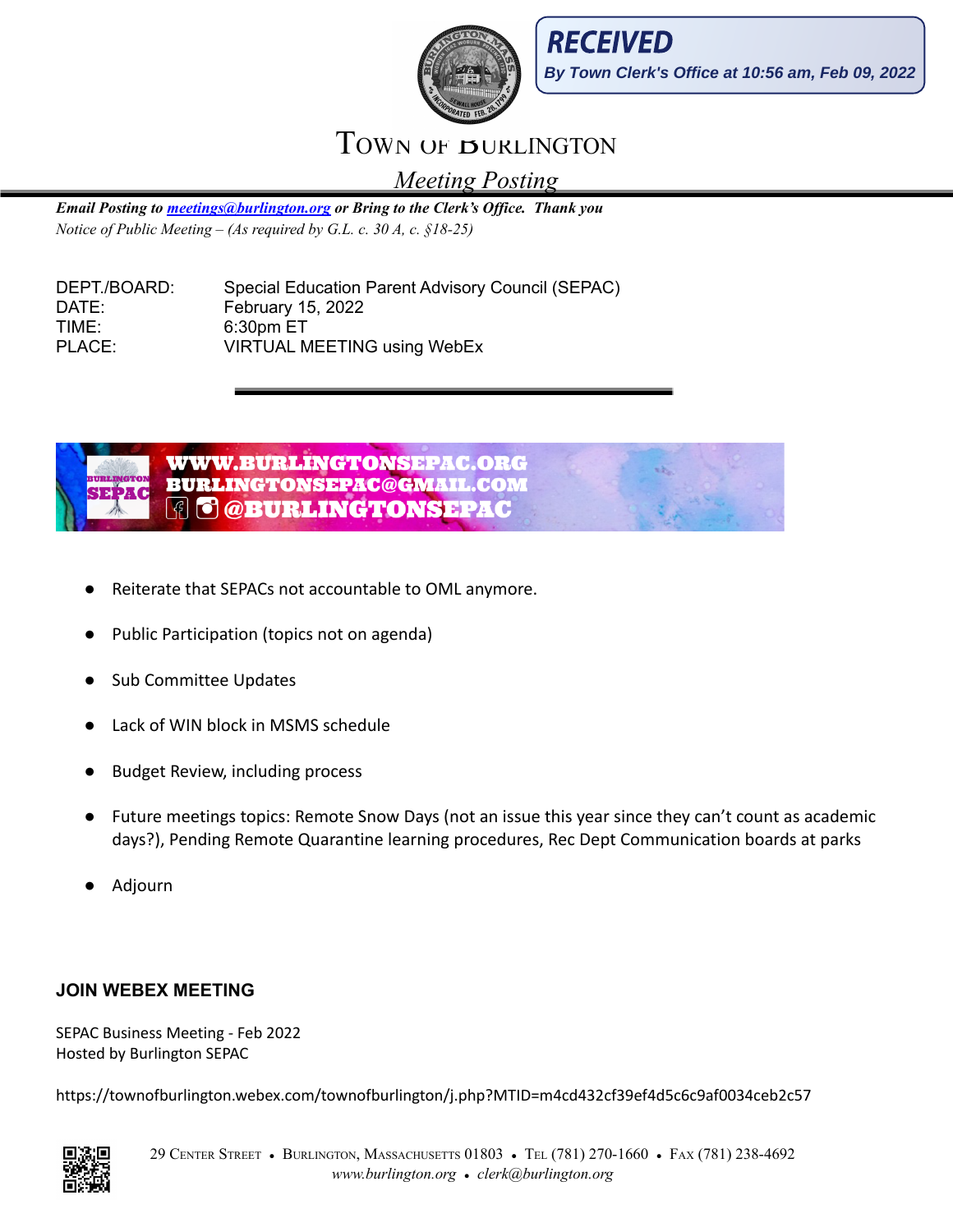



## TOWN OF **BURLINGTON**

*Meeting Posting*

*Email Posting to [meetings@burlington.org](mailto:meetings@burlington.org) or Bring to the Clerk's Of ice. Thank you Notice of Public Meeting – (As required by G.L. c. 30 A, c. §18-25)*

| DEPT./BOARD: | Special Education Parent Advisory Council (SEPAC) |
|--------------|---------------------------------------------------|
| DATE:        | February 15, 2022                                 |
| TIME:        | 6:30pm ET                                         |
| PLACE:       | <b>VIRTUAL MEETING using WebEx</b>                |



- Reiterate that SEPACs not accountable to OML anymore.
- Public Participation (topics not on agenda)
- **Sub Committee Updates**
- Lack of WIN block in MSMS schedule
- **Budget Review, including process**
- Future meetings topics: Remote Snow Days (not an issue this year since they can't count as academic days?), Pending Remote Quarantine learning procedures, Rec Dept Communication boards at parks
- Adjourn

### **JOIN WEBEX MEETING**

SEPAC Business Meeting - Feb 2022 Hosted by Burlington SEPAC

https://townofburlington.webex.com/townofburlington/j.php?MTID=m4cd432cf39ef4d5c6c9af0034ceb2c57